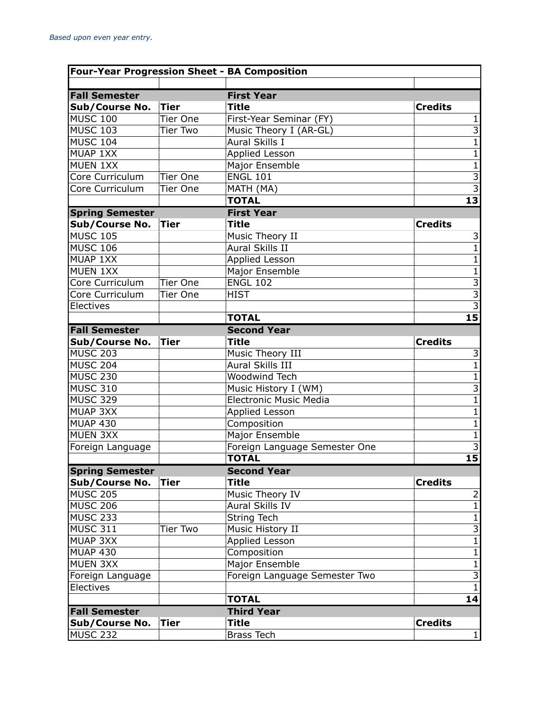